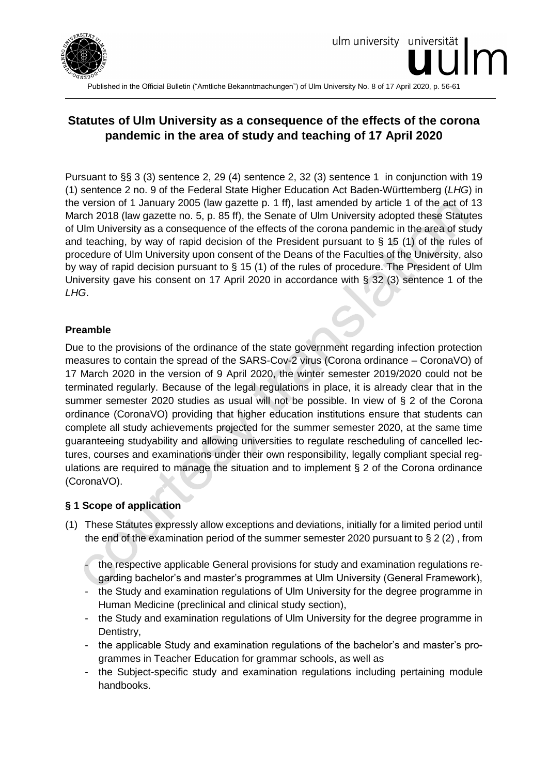

Published in the Official Bulletin ("Amtliche Bekanntmachungen") of Ulm University No. 8 of 17 April 2020, p. 56-61

# **Statutes of Ulm University as a consequence of the effects of the corona pandemic in the area of study and teaching of 17 April 2020**

Pursuant to §§ 3 (3) sentence 2, 29 (4) sentence 2, 32 (3) sentence 1 in conjunction with 19 (1) sentence 2 no. 9 of the Federal State Higher Education Act Baden-Württemberg (*LHG*) in the version of 1 January 2005 (law gazette p. 1 ff), last amended by article 1 of the act of 13 March 2018 (law gazette no. 5, p. 85 ff), the Senate of Ulm University adopted these Statutes of Ulm University as a consequence of the effects of the corona pandemic in the area of study and teaching, by way of rapid decision of the President pursuant to § 15 (1) of the rules of procedure of Ulm University upon consent of the Deans of the Faculties of the University, also by way of rapid decision pursuant to § 15 (1) of the rules of procedure. The President of Ulm University gave his consent on 17 April 2020 in accordance with § 32 (3) sentence 1 of the *LHG*.

## **Preamble**

Due to the provisions of the ordinance of the state government regarding infection protection measures to contain the spread of the SARS-Cov-2 virus (Corona ordinance – CoronaVO) of 17 March 2020 in the version of 9 April 2020, the winter semester 2019/2020 could not be terminated regularly. Because of the legal regulations in place, it is already clear that in the summer semester 2020 studies as usual will not be possible. In view of § 2 of the Corona ordinance (CoronaVO) providing that higher education institutions ensure that students can complete all study achievements projected for the summer semester 2020, at the same time guaranteeing studyability and allowing universities to regulate rescheduling of cancelled lectures, courses and examinations under their own responsibility, legally compliant special regulations are required to manage the situation and to implement § 2 of the Corona ordinance (CoronaVO).

#### **§ 1 Scope of application**

- (1) These Statutes expressly allow exceptions and deviations, initially for a limited period until the end of the examination period of the summer semester 2020 pursuant to § 2 (2) , from
	- the respective applicable General provisions for study and examination regulations regarding bachelor's and master's programmes at Ulm University (General Framework),
	- the Study and examination regulations of Ulm University for the degree programme in Human Medicine (preclinical and clinical study section),
	- the Study and examination regulations of Ulm University for the degree programme in Dentistry,
	- the applicable Study and examination regulations of the bachelor's and master's programmes in Teacher Education for grammar schools, as well as
	- the Subject-specific study and examination regulations including pertaining module handbooks.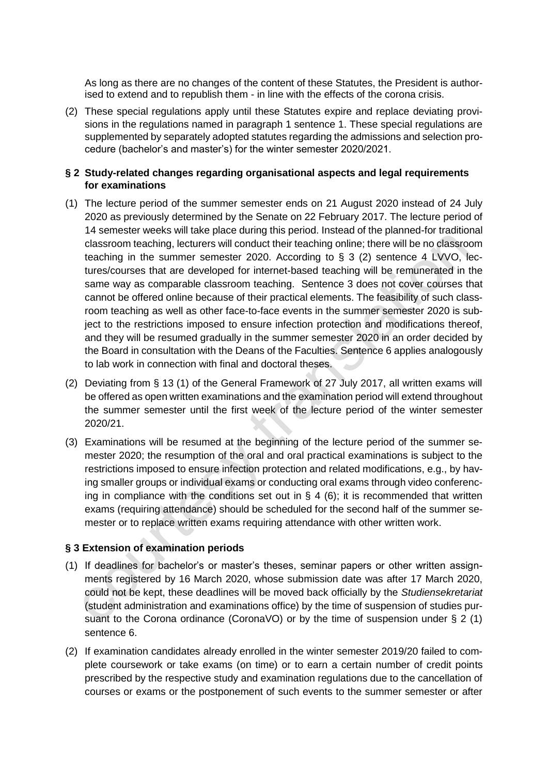As long as there are no changes of the content of these Statutes, the President is authorised to extend and to republish them - in line with the effects of the corona crisis.

(2) These special regulations apply until these Statutes expire and replace deviating provisions in the regulations named in paragraph 1 sentence 1. These special regulations are supplemented by separately adopted statutes regarding the admissions and selection procedure (bachelor's and master's) for the winter semester 2020/2021.

### **§ 2 Study-related changes regarding organisational aspects and legal requirements for examinations**

- (1) The lecture period of the summer semester ends on 21 August 2020 instead of 24 July 2020 as previously determined by the Senate on 22 February 2017. The lecture period of 14 semester weeks will take place during this period. Instead of the planned-for traditional classroom teaching, lecturers will conduct their teaching online; there will be no classroom teaching in the summer semester 2020. According to § 3 (2) sentence 4 LVVO, lectures/courses that are developed for internet-based teaching will be remunerated in the same way as comparable classroom teaching. Sentence 3 does not cover courses that cannot be offered online because of their practical elements. The feasibility of such classroom teaching as well as other face-to-face events in the summer semester 2020 is subject to the restrictions imposed to ensure infection protection and modifications thereof, and they will be resumed gradually in the summer semester 2020 in an order decided by the Board in consultation with the Deans of the Faculties. Sentence 6 applies analogously to lab work in connection with final and doctoral theses.
- (2) Deviating from § 13 (1) of the General Framework of 27 July 2017, all written exams will be offered as open written examinations and the examination period will extend throughout the summer semester until the first week of the lecture period of the winter semester 2020/21.
- (3) Examinations will be resumed at the beginning of the lecture period of the summer semester 2020; the resumption of the oral and oral practical examinations is subject to the restrictions imposed to ensure infection protection and related modifications, e.g., by having smaller groups or individual exams or conducting oral exams through video conferencing in compliance with the conditions set out in  $\S$  4 (6); it is recommended that written exams (requiring attendance) should be scheduled for the second half of the summer semester or to replace written exams requiring attendance with other written work.

#### **§ 3 Extension of examination periods**

- (1) If deadlines for bachelor's or master's theses, seminar papers or other written assignments registered by 16 March 2020, whose submission date was after 17 March 2020, could not be kept, these deadlines will be moved back officially by the *Studiensekretariat* (student administration and examinations office) by the time of suspension of studies pursuant to the Corona ordinance (CoronaVO) or by the time of suspension under § 2 (1) sentence 6.
- (2) If examination candidates already enrolled in the winter semester 2019/20 failed to complete coursework or take exams (on time) or to earn a certain number of credit points prescribed by the respective study and examination regulations due to the cancellation of courses or exams or the postponement of such events to the summer semester or after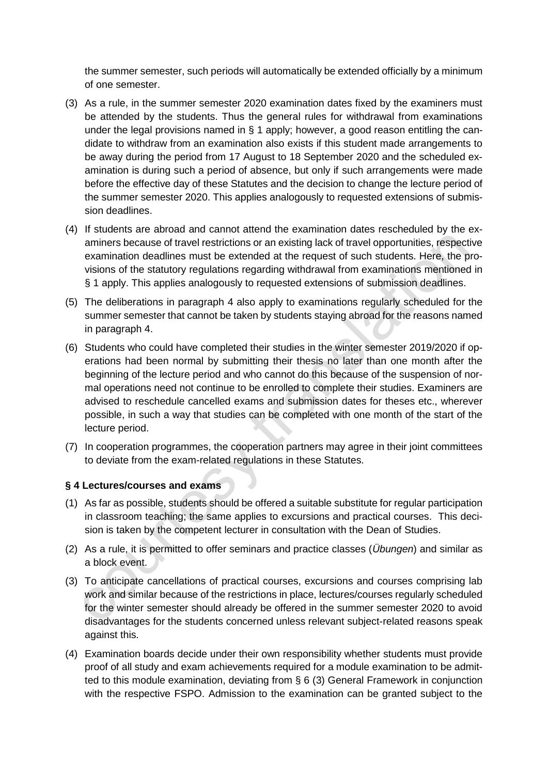the summer semester, such periods will automatically be extended officially by a minimum of one semester.

- (3) As a rule, in the summer semester 2020 examination dates fixed by the examiners must be attended by the students. Thus the general rules for withdrawal from examinations under the legal provisions named in § 1 apply; however, a good reason entitling the candidate to withdraw from an examination also exists if this student made arrangements to be away during the period from 17 August to 18 September 2020 and the scheduled examination is during such a period of absence, but only if such arrangements were made before the effective day of these Statutes and the decision to change the lecture period of the summer semester 2020. This applies analogously to requested extensions of submission deadlines.
- (4) If students are abroad and cannot attend the examination dates rescheduled by the examiners because of travel restrictions or an existing lack of travel opportunities, respective examination deadlines must be extended at the request of such students. Here, the provisions of the statutory regulations regarding withdrawal from examinations mentioned in § 1 apply. This applies analogously to requested extensions of submission deadlines.
- (5) The deliberations in paragraph 4 also apply to examinations regularly scheduled for the summer semester that cannot be taken by students staying abroad for the reasons named in paragraph 4.
- (6) Students who could have completed their studies in the winter semester 2019/2020 if operations had been normal by submitting their thesis no later than one month after the beginning of the lecture period and who cannot do this because of the suspension of normal operations need not continue to be enrolled to complete their studies. Examiners are advised to reschedule cancelled exams and submission dates for theses etc., wherever possible, in such a way that studies can be completed with one month of the start of the lecture period.
- (7) In cooperation programmes, the cooperation partners may agree in their joint committees to deviate from the exam-related regulations in these Statutes.

# **§ 4 Lectures/courses and exams**

- (1) As far as possible, students should be offered a suitable substitute for regular participation in classroom teaching; the same applies to excursions and practical courses. This decision is taken by the competent lecturer in consultation with the Dean of Studies.
- (2) As a rule, it is permitted to offer seminars and practice classes (*Übungen*) and similar as a block event.
- (3) To anticipate cancellations of practical courses, excursions and courses comprising lab work and similar because of the restrictions in place, lectures/courses regularly scheduled for the winter semester should already be offered in the summer semester 2020 to avoid disadvantages for the students concerned unless relevant subject-related reasons speak against this.
- (4) Examination boards decide under their own responsibility whether students must provide proof of all study and exam achievements required for a module examination to be admitted to this module examination, deviating from § 6 (3) General Framework in conjunction with the respective FSPO. Admission to the examination can be granted subject to the